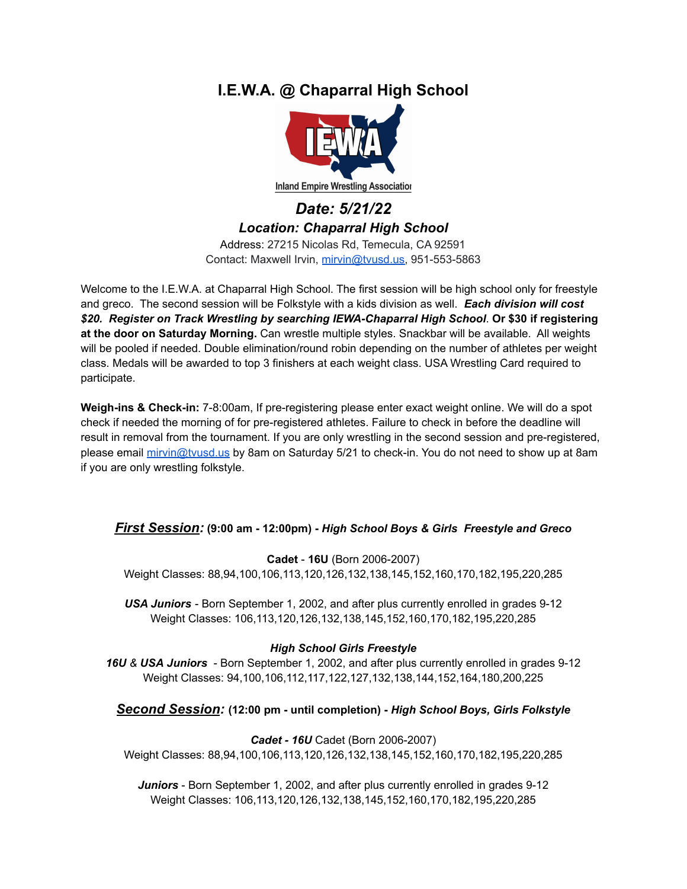# **I.E.W.A. @ Chaparral High School**



*Date: 5/21/22 Location: Chaparral High School* Address: 27215 Nicolas Rd, Temecula, CA 92591

Contact: Maxwell Irvin, [mirvin@tvusd.us,](mailto:mirvin@tvusd.us) 951-553-5863

Welcome to the I.E.W.A. at Chaparral High School. The first session will be high school only for freestyle and greco. The second session will be Folkstyle with a kids division as well. *Each division will cost \$20. Register on Track Wrestling by searching IEWA-Chaparral High School*. **Or \$30 if registering at the door on Saturday Morning.** Can wrestle multiple styles. Snackbar will be available. All weights will be pooled if needed. Double elimination/round robin depending on the number of athletes per weight class. Medals will be awarded to top 3 finishers at each weight class. USA Wrestling Card required to participate.

**Weigh-ins & Check-in:** 7-8:00am, If pre-registering please enter exact weight online. We will do a spot check if needed the morning of for pre-registered athletes. Failure to check in before the deadline will result in removal from the tournament. If you are only wrestling in the second session and pre-registered, please email [mirvin@tvusd.us](mailto:mirvin@tvusd.us) by 8am on Saturday 5/21 to check-in. You do not need to show up at 8am if you are only wrestling folkstyle.

## *First Session:* **(9:00 am - 12:00pm) -** *High School Boys & Girls Freestyle and Greco*

**Cadet** - **16U** (Born 2006-2007)

Weight Classes: 88,94,100,106,113,120,126,132,138,145,152,160,170,182,195,220,285

*USA Juniors* - Born September 1, 2002, and after plus currently enrolled in grades 9-12 Weight Classes: 106,113,120,126,132,138,145,152,160,170,182,195,220,285

### *High School Girls Freestyle*

*16U & USA Juniors* - Born September 1, 2002, and after plus currently enrolled in grades 9-12 Weight Classes: 94,100,106,112,117,122,127,132,138,144,152,164,180,200,225

*Second Session:* **(12:00 pm - until completion) -** *High School Boys, Girls Folkstyle*

## *Cadet - 16U* Cadet (Born 2006-2007)

Weight Classes: 88,94,100,106,113,120,126,132,138,145,152,160,170,182,195,220,285

*Juniors* - Born September 1, 2002, and after plus currently enrolled in grades 9-12 Weight Classes: 106,113,120,126,132,138,145,152,160,170,182,195,220,285